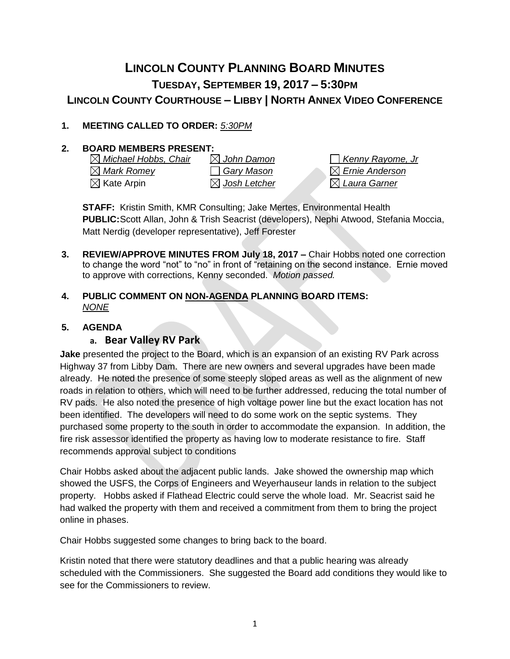# **LINCOLN COUNTY PLANNING BOARD MINUTES TUESDAY, SEPTEMBER 19, 2017 – 5:30PM**

## **LINCOLN COUNTY COURTHOUSE – LIBBY | NORTH ANNEX VIDEO CONFERENCE**

### **1. MEETING CALLED TO ORDER:** *5:30PM*

#### **2. BOARD MEMBERS PRESENT:**

| $\boxtimes$ Michael Hobbs, Chair | $\boxtimes$ John Damon   |
|----------------------------------|--------------------------|
| $\boxtimes$ Mark Romey           | □ Gary Mason             |
| $\boxtimes$ Kate Arpin           | $\boxtimes$ Josh Letcher |

*Michael Hobbs, Chair John Damon Kenny Rayome, Jr Mark Romey Gary Mason Ernie Anderson*  $\boxtimes$  Laura Garner

**STAFF:** Kristin Smith, KMR Consulting; Jake Mertes, Environmental Health **PUBLIC:**Scott Allan, John & Trish Seacrist (developers), Nephi Atwood, Stefania Moccia, Matt Nerdig (developer representative), Jeff Forester

- **3. REVIEW/APPROVE MINUTES FROM July 18, 2017 –** Chair Hobbs noted one correction to change the word "not" to "no" in front of "retaining on the second instance. Ernie moved to approve with corrections, Kenny seconded. *Motion passed.*
- **4. PUBLIC COMMENT ON NON-AGENDA PLANNING BOARD ITEMS:**  *NONE*

#### **5. AGENDA**

#### **a. Bear Valley RV Park**

**Jake** presented the project to the Board, which is an expansion of an existing RV Park across Highway 37 from Libby Dam. There are new owners and several upgrades have been made already. He noted the presence of some steeply sloped areas as well as the alignment of new roads in relation to others, which will need to be further addressed, reducing the total number of RV pads. He also noted the presence of high voltage power line but the exact location has not been identified. The developers will need to do some work on the septic systems. They purchased some property to the south in order to accommodate the expansion. In addition, the fire risk assessor identified the property as having low to moderate resistance to fire. Staff recommends approval subject to conditions

Chair Hobbs asked about the adjacent public lands. Jake showed the ownership map which showed the USFS, the Corps of Engineers and Weyerhauseur lands in relation to the subject property. Hobbs asked if Flathead Electric could serve the whole load. Mr. Seacrist said he had walked the property with them and received a commitment from them to bring the project online in phases.

Chair Hobbs suggested some changes to bring back to the board.

Kristin noted that there were statutory deadlines and that a public hearing was already scheduled with the Commissioners. She suggested the Board add conditions they would like to see for the Commissioners to review.